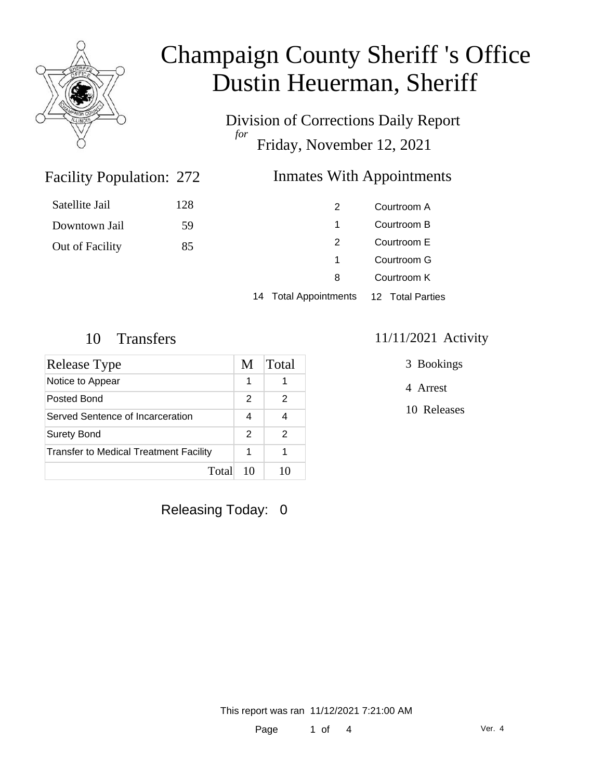

Satellite Jail

Downtown Jail

Out of Facility

# Champaign County Sheriff 's Office Dustin Heuerman, Sheriff

Division of Corrections Daily Report *for* Friday, November 12, 2021

### Facility Population: 272

### **Inmates With Appointments**

| 128 | 2                                      | Courtroom A |
|-----|----------------------------------------|-------------|
| 59  | 1                                      | Courtroom B |
| 85  | 2                                      | Courtroom E |
|     | 1                                      | Courtroom G |
|     | 8                                      | Courtroom K |
|     | 14 Total Appointments 12 Total Parties |             |

| <b>Release Type</b>                           | M  | Total |
|-----------------------------------------------|----|-------|
| Notice to Appear                              | 1  |       |
| Posted Bond                                   | 2  |       |
| Served Sentence of Incarceration              |    |       |
| <b>Surety Bond</b>                            | 2  |       |
| <b>Transfer to Medical Treatment Facility</b> |    |       |
| Total                                         | 10 |       |

Releasing Today: 0

#### 10 Transfers 11/11/2021 Activity

3 Bookings

4 Arrest

10 Releases

This report was ran 11/12/2021 7:21:00 AM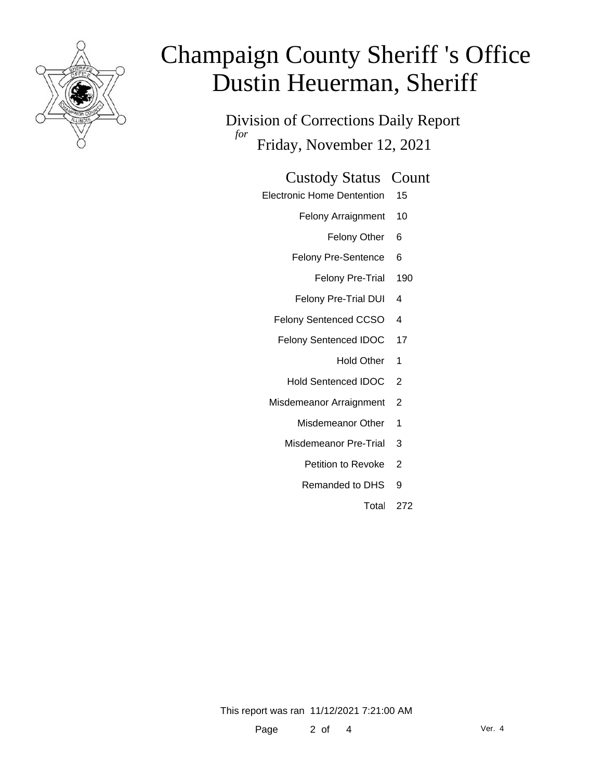

# Champaign County Sheriff 's Office Dustin Heuerman, Sheriff

Division of Corrections Daily Report *for* Friday, November 12, 2021

#### Custody Status Count

- Electronic Home Dentention 15
	- Felony Arraignment 10
		- Felony Other 6
	- Felony Pre-Sentence 6
		- Felony Pre-Trial 190
	- Felony Pre-Trial DUI 4
	- Felony Sentenced CCSO 4
	- Felony Sentenced IDOC 17
		- Hold Other 1
		- Hold Sentenced IDOC 2
	- Misdemeanor Arraignment 2
		- Misdemeanor Other 1
		- Misdemeanor Pre-Trial 3
			- Petition to Revoke 2
			- Remanded to DHS 9
				- Total 272

This report was ran 11/12/2021 7:21:00 AM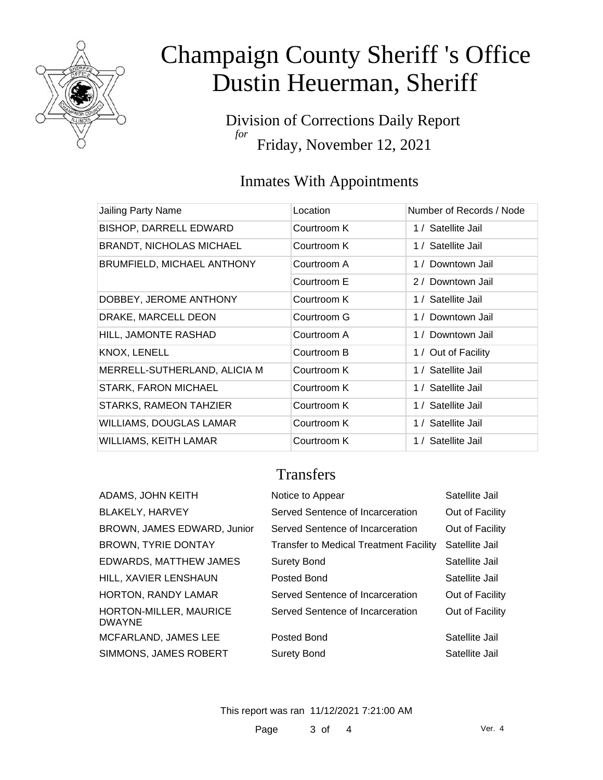

# Champaign County Sheriff 's Office Dustin Heuerman, Sheriff

Division of Corrections Daily Report *for* Friday, November 12, 2021

### Inmates With Appointments

| Jailing Party Name              | Location    | Number of Records / Node |
|---------------------------------|-------------|--------------------------|
| <b>BISHOP, DARRELL EDWARD</b>   | Courtroom K | 1 / Satellite Jail       |
| <b>BRANDT, NICHOLAS MICHAEL</b> | Courtroom K | 1 / Satellite Jail       |
| BRUMFIELD, MICHAEL ANTHONY      | Courtroom A | 1 / Downtown Jail        |
|                                 | Courtroom E | 2 / Downtown Jail        |
| DOBBEY, JEROME ANTHONY          | Courtroom K | 1 / Satellite Jail       |
| DRAKE, MARCELL DEON             | Courtroom G | 1 / Downtown Jail        |
| HILL, JAMONTE RASHAD            | Courtroom A | 1 / Downtown Jail        |
| KNOX, LENELL                    | Courtroom B | 1 / Out of Facility      |
| MERRELL-SUTHERLAND, ALICIA M    | Courtroom K | 1 / Satellite Jail       |
| <b>STARK, FARON MICHAEL</b>     | Courtroom K | 1 / Satellite Jail       |
| STARKS, RAMEON TAHZIER          | Courtroom K | 1 / Satellite Jail       |
| <b>WILLIAMS, DOUGLAS LAMAR</b>  | Courtroom K | 1 / Satellite Jail       |
| WILLIAMS, KEITH LAMAR           | Courtroom K | 1 / Satellite Jail       |

### **Transfers**

| ADAMS, JOHN KEITH                       | Notice to Appear                              | Satellite Jail  |
|-----------------------------------------|-----------------------------------------------|-----------------|
| <b>BLAKELY, HARVEY</b>                  | Served Sentence of Incarceration              | Out of Facility |
| BROWN, JAMES EDWARD, Junior             | Served Sentence of Incarceration              | Out of Facility |
| <b>BROWN, TYRIE DONTAY</b>              | <b>Transfer to Medical Treatment Facility</b> | Satellite Jail  |
| <b>EDWARDS, MATTHEW JAMES</b>           | <b>Surety Bond</b>                            | Satellite Jail  |
| HILL, XAVIER LENSHAUN                   | Posted Bond                                   | Satellite Jail  |
| <b>HORTON, RANDY LAMAR</b>              | Served Sentence of Incarceration              | Out of Facility |
| HORTON-MILLER, MAURICE<br><b>DWAYNE</b> | Served Sentence of Incarceration              | Out of Facility |
| MCFARLAND, JAMES LEE                    | Posted Bond                                   | Satellite Jail  |
| SIMMONS, JAMES ROBERT                   | <b>Surety Bond</b>                            | Satellite Jail  |

This report was ran 11/12/2021 7:21:00 AM